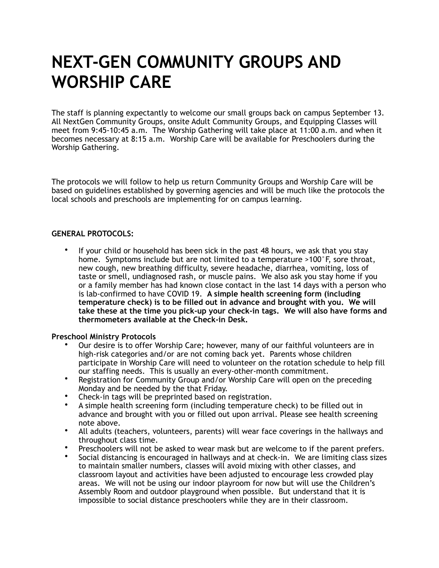# **NEXT-GEN COMMUNITY GROUPS AND WORSHIP CARE**

The staff is planning expectantly to welcome our small groups back on campus September 13. All NextGen Community Groups, onsite Adult Community Groups, and Equipping Classes will meet from 9:45-10:45 a.m. The Worship Gathering will take place at 11:00 a.m. and when it becomes necessary at 8:15 a.m. Worship Care will be available for Preschoolers during the Worship Gathering.

The protocols we will follow to help us return Community Groups and Worship Care will be based on guidelines established by governing agencies and will be much like the protocols the local schools and preschools are implementing for on campus learning.

## **GENERAL PROTOCOLS:**

If your child or household has been sick in the past 48 hours, we ask that you stay home. Symptoms include but are not limited to a temperature >100°F, sore throat, new cough, new breathing difficulty, severe headache, diarrhea, vomiting, loss of taste or smell, undiagnosed rash, or muscle pains. We also ask you stay home if you or a family member has had known close contact in the last 14 days with a person who is lab-confirmed to have COVID 19. **A simple health screening form (including temperature check) is to be filled out in advance and brought with you. We will take these at the time you pick-up your check-in tags. We will also have forms and thermometers available at the Check-in Desk.**

#### **Preschool Ministry Protocols**

- Our desire is to offer Worship Care; however, many of our faithful volunteers are in high-risk categories and/or are not coming back yet. Parents whose children participate in Worship Care will need to volunteer on the rotation schedule to help fill our staffing needs. This is usually an every-other-month commitment.
- Registration for Community Group and/or Worship Care will open on the preceding Monday and be needed by the that Friday.
- Check-in tags will be preprinted based on registration.
- A simple health screening form (including temperature check) to be filled out in advance and brought with you or filled out upon arrival. Please see health screening note above.
- All adults (teachers, volunteers, parents) will wear face coverings in the hallways and throughout class time.
- Preschoolers will not be asked to wear mask but are welcome to if the parent prefers.
- Social distancing is encouraged in hallways and at check-in. We are limiting class sizes to maintain smaller numbers, classes will avoid mixing with other classes, and classroom layout and activities have been adjusted to encourage less crowded play areas. We will not be using our indoor playroom for now but will use the Children's Assembly Room and outdoor playground when possible. But understand that it is impossible to social distance preschoolers while they are in their classroom.